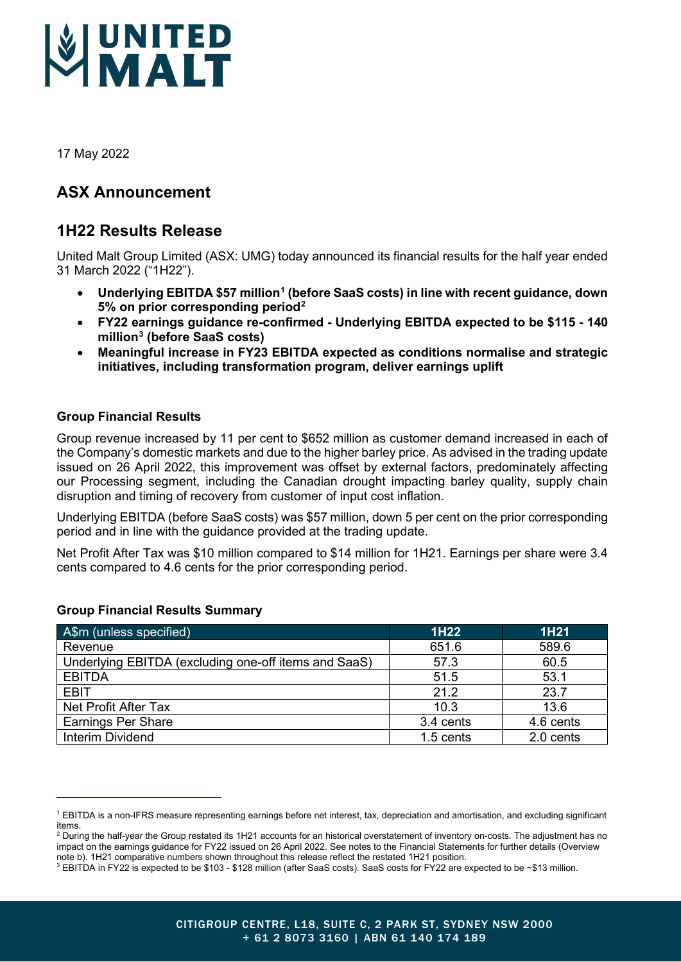

17 May 2022

# **ASX Announcement**

# **1H22 Results Release**

United Malt Group Limited (ASX: UMG) today announced its financial results for the half year ended 31 March 2022 ("1H22").

- **Underlying EBITDA \$57 million[1](#page-0-0) (before SaaS costs) in line with recent guidance, down 5% on prior corresponding period[2](#page-0-1)**
- **FY22 earnings guidance re-confirmed - Underlying EBITDA expected to be \$115 - 140 million[3](#page-0-2) (before SaaS costs)**
- **Meaningful increase in FY23 EBITDA expected as conditions normalise and strategic initiatives, including transformation program, deliver earnings uplift**

# **Group Financial Results**

Group revenue increased by 11 per cent to \$652 million as customer demand increased in each of the Company's domestic markets and due to the higher barley price. As advised in the trading update issued on 26 April 2022, this improvement was offset by external factors, predominately affecting our Processing segment, including the Canadian drought impacting barley quality, supply chain disruption and timing of recovery from customer of input cost inflation.

Underlying EBITDA (before SaaS costs) was \$57 million, down 5 per cent on the prior corresponding period and in line with the guidance provided at the trading update.

Net Profit After Tax was \$10 million compared to \$14 million for 1H21. Earnings per share were 3.4 cents compared to 4.6 cents for the prior corresponding period.

| A\$m (unless specified)                              | 1H22        | 1H21      |
|------------------------------------------------------|-------------|-----------|
| Revenue                                              | 651.6       | 589.6     |
| Underlying EBITDA (excluding one-off items and SaaS) | 57.3        | 60.5      |
| <b>EBITDA</b>                                        | 51.5        | 53.1      |
| <b>EBIT</b>                                          | 21.2        | 23.7      |
| Net Profit After Tax                                 | 10.3        | 13.6      |
| <b>Earnings Per Share</b>                            | 3.4 cents   | 4.6 cents |
| Interim Dividend                                     | $1.5$ cents | 2.0 cents |

# **Group Financial Results Summary**

<span id="page-0-0"></span><sup>1</sup> EBITDA is a non-IFRS measure representing earnings before net interest, tax, depreciation and amortisation, and excluding significant items.

<span id="page-0-1"></span> $2$  During the half-year the Group restated its 1H21 accounts for an historical overstatement of inventory on-costs. The adjustment has no impact on the earnings guidance for FY22 issued on 26 April 2022. See notes to the Financial Statements for further details (Overview note b). 1H21 comparative numbers shown throughout this release reflect the restated 1H21 position.

<span id="page-0-2"></span><sup>3</sup> EBITDA in FY22 is expected to be \$103 - \$128 million (after SaaS costs). SaaS costs for FY22 are expected to be ~\$13 million.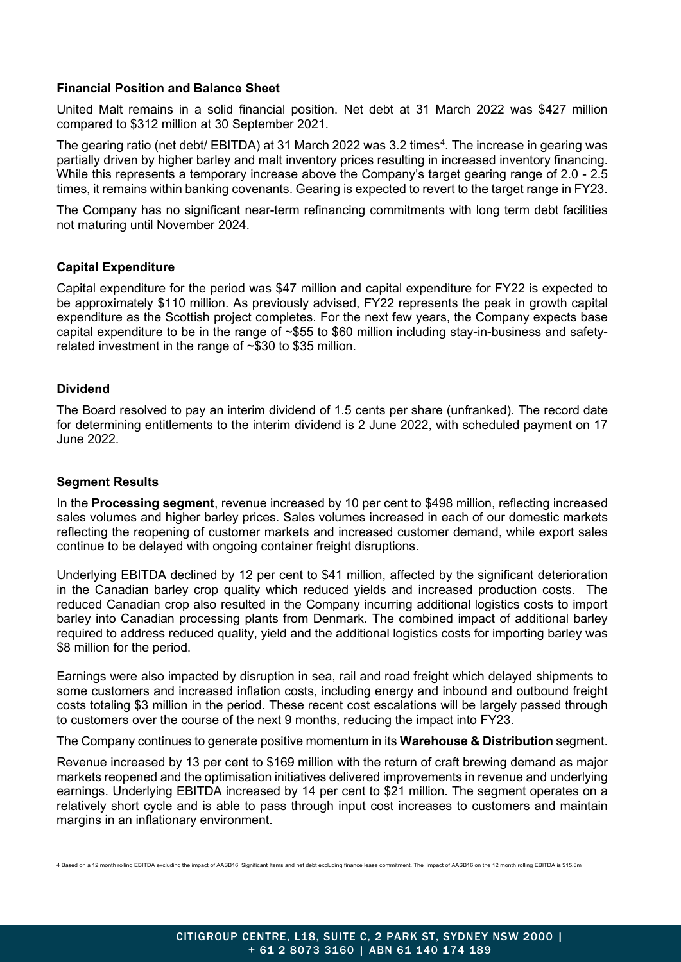# **Financial Position and Balance Sheet**

United Malt remains in a solid financial position. Net debt at 31 March 2022 was \$427 million compared to \$312 million at 30 September 2021.

The gearing ratio (net debt/ EBITDA) at 31 March 2022 was 3.2 times $^4$  $^4$ . The increase in gearing was partially driven by higher barley and malt inventory prices resulting in increased inventory financing. While this represents a temporary increase above the Company's target gearing range of 2.0 - 2.5 times, it remains within banking covenants. Gearing is expected to revert to the target range in FY23.

The Company has no significant near-term refinancing commitments with long term debt facilities not maturing until November 2024.

# **Capital Expenditure**

Capital expenditure for the period was \$47 million and capital expenditure for FY22 is expected to be approximately \$110 million. As previously advised, FY22 represents the peak in growth capital expenditure as the Scottish project completes. For the next few years, the Company expects base capital expenditure to be in the range of ~\$55 to \$60 million including stay-in-business and safetyrelated investment in the range of  $\sim$ \$30 to \$35 million.

## **Dividend**

The Board resolved to pay an interim dividend of 1.5 cents per share (unfranked). The record date for determining entitlements to the interim dividend is 2 June 2022, with scheduled payment on 17 June 2022.

## **Segment Results**

In the **Processing segment**, revenue increased by 10 per cent to \$498 million, reflecting increased sales volumes and higher barley prices. Sales volumes increased in each of our domestic markets reflecting the reopening of customer markets and increased customer demand, while export sales continue to be delayed with ongoing container freight disruptions.

Underlying EBITDA declined by 12 per cent to \$41 million, affected by the significant deterioration in the Canadian barley crop quality which reduced yields and increased production costs. The reduced Canadian crop also resulted in the Company incurring additional logistics costs to import barley into Canadian processing plants from Denmark. The combined impact of additional barley required to address reduced quality, yield and the additional logistics costs for importing barley was \$8 million for the period.

Earnings were also impacted by disruption in sea, rail and road freight which delayed shipments to some customers and increased inflation costs, including energy and inbound and outbound freight costs totaling \$3 million in the period. These recent cost escalations will be largely passed through to customers over the course of the next 9 months, reducing the impact into FY23.

The Company continues to generate positive momentum in its **Warehouse & Distribution** segment.

Revenue increased by 13 per cent to \$169 million with the return of craft brewing demand as major markets reopened and the optimisation initiatives delivered improvements in revenue and underlying earnings. Underlying EBITDA increased by 14 per cent to \$21 million. The segment operates on a relatively short cycle and is able to pass through input cost increases to customers and maintain margins in an inflationary environment.

<span id="page-1-0"></span><sup>4</sup> Based on a 12 month rolling EBITDA excluding the impact of AASB16, Significant Items and net debt excluding finance lease commitment. The impact of AASB16 on the 12 month rolling EBITDA is \$15.8m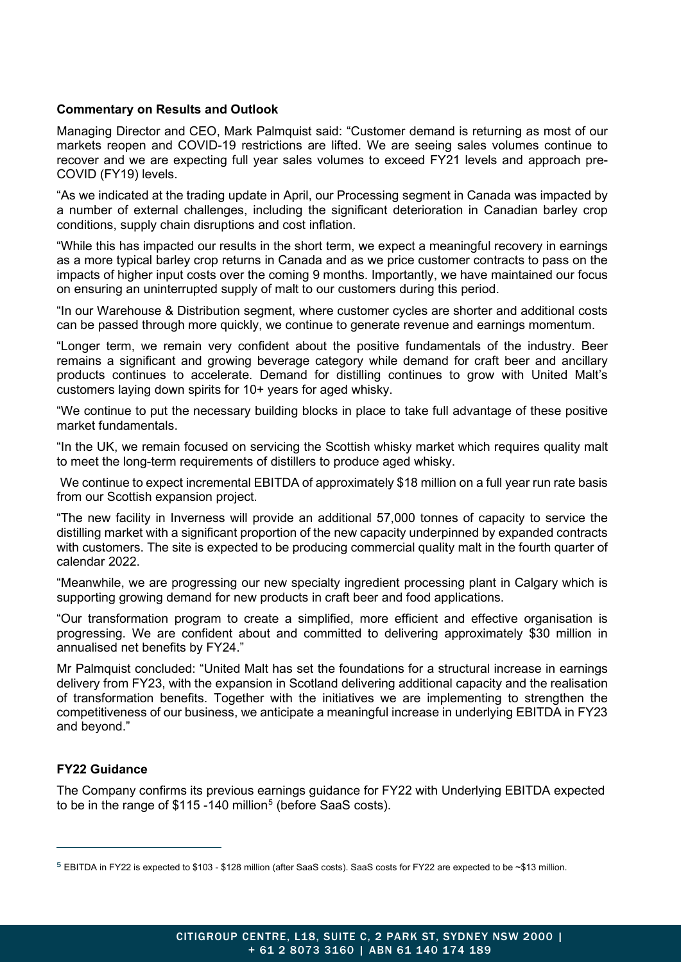## **Commentary on Results and Outlook**

Managing Director and CEO, Mark Palmquist said: "Customer demand is returning as most of our markets reopen and COVID-19 restrictions are lifted. We are seeing sales volumes continue to recover and we are expecting full year sales volumes to exceed FY21 levels and approach pre-COVID (FY19) levels.

"As we indicated at the trading update in April, our Processing segment in Canada was impacted by a number of external challenges, including the significant deterioration in Canadian barley crop conditions, supply chain disruptions and cost inflation.

"While this has impacted our results in the short term, we expect a meaningful recovery in earnings as a more typical barley crop returns in Canada and as we price customer contracts to pass on the impacts of higher input costs over the coming 9 months. Importantly, we have maintained our focus on ensuring an uninterrupted supply of malt to our customers during this period.

"In our Warehouse & Distribution segment, where customer cycles are shorter and additional costs can be passed through more quickly, we continue to generate revenue and earnings momentum.

"Longer term, we remain very confident about the positive fundamentals of the industry. Beer remains a significant and growing beverage category while demand for craft beer and ancillary products continues to accelerate. Demand for distilling continues to grow with United Malt's customers laying down spirits for 10+ years for aged whisky.

"We continue to put the necessary building blocks in place to take full advantage of these positive market fundamentals.

"In the UK, we remain focused on servicing the Scottish whisky market which requires quality malt to meet the long-term requirements of distillers to produce aged whisky.

We continue to expect incremental EBITDA of approximately \$18 million on a full year run rate basis from our Scottish expansion project.

"The new facility in Inverness will provide an additional 57,000 tonnes of capacity to service the distilling market with a significant proportion of the new capacity underpinned by expanded contracts with customers. The site is expected to be producing commercial quality malt in the fourth quarter of calendar 2022.

"Meanwhile, we are progressing our new specialty ingredient processing plant in Calgary which is supporting growing demand for new products in craft beer and food applications.

"Our transformation program to create a simplified, more efficient and effective organisation is progressing. We are confident about and committed to delivering approximately \$30 million in annualised net benefits by FY24."

Mr Palmquist concluded: "United Malt has set the foundations for a structural increase in earnings delivery from FY23, with the expansion in Scotland delivering additional capacity and the realisation of transformation benefits. Together with the initiatives we are implementing to strengthen the competitiveness of our business, we anticipate a meaningful increase in underlying EBITDA in FY23 and beyond."

# **FY22 Guidance**

The Company confirms its previous earnings guidance for FY22 with Underlying EBITDA expected to be in the range of  $$115 -140$  $$115 -140$  $$115 -140$  million<sup>5</sup> (before SaaS costs).

<span id="page-2-0"></span><sup>5</sup> EBITDA in FY22 is expected to \$103 - \$128 million (after SaaS costs). SaaS costs for FY22 are expected to be ~\$13 million.